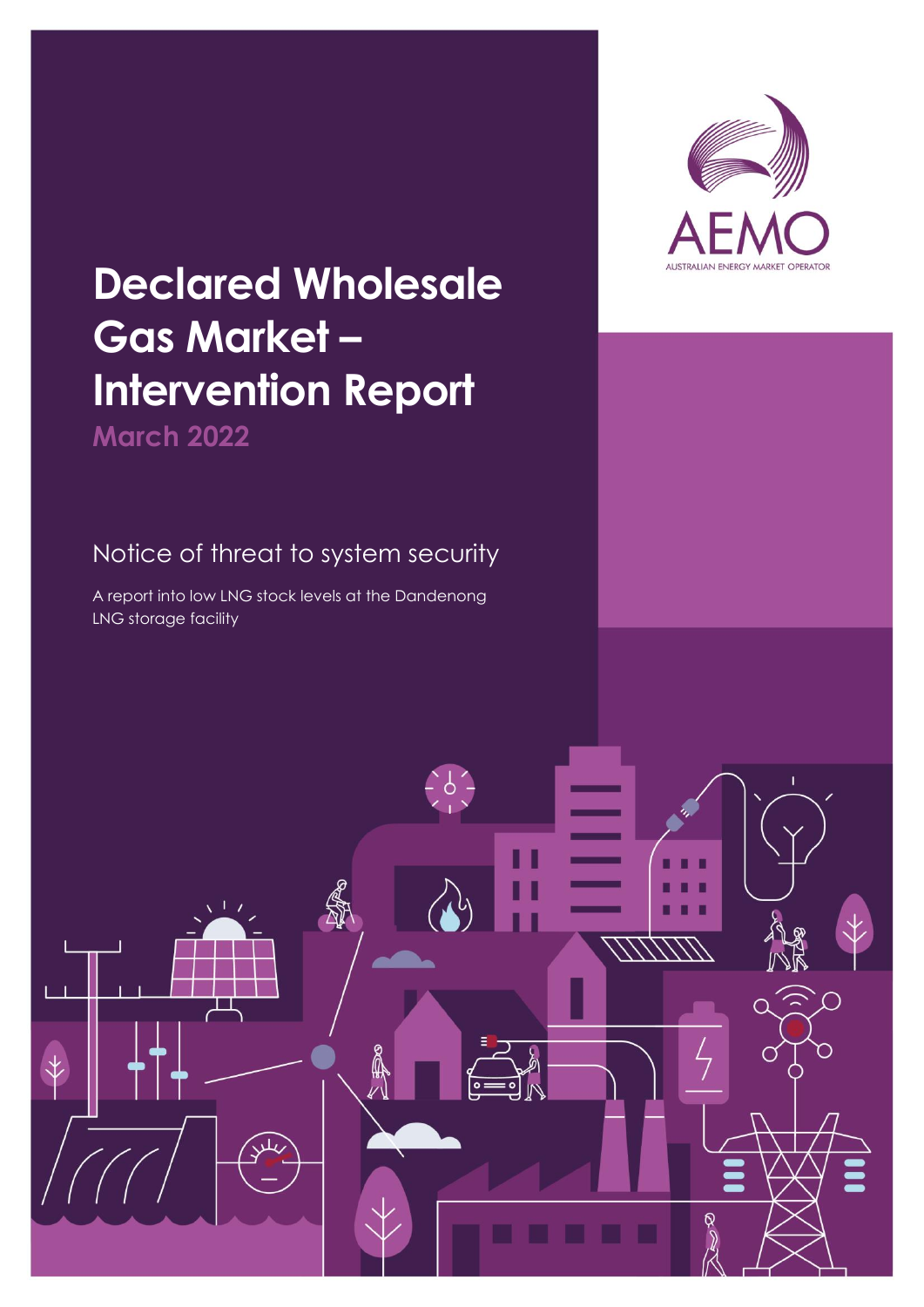

## **Declared Wholesale Gas Market – Intervention Report March 2022**

## Notice of threat to system security

A report into low LNG stock levels at the Dandenong LNG storage facility

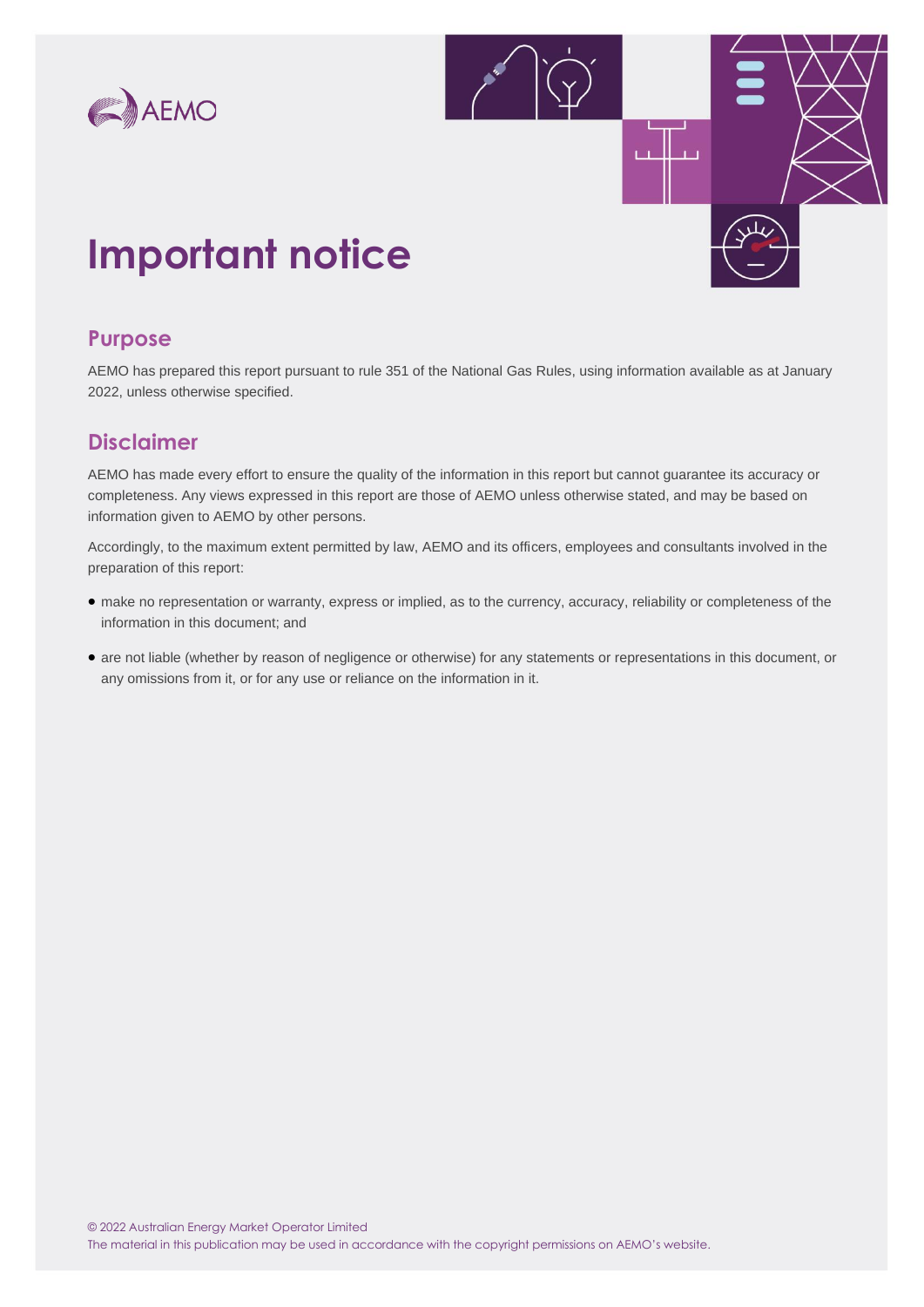



## **Important notice**

### **Purpose**

AEMO has prepared this report pursuant to rule 351 of the National Gas Rules, using information available as at January 2022, unless otherwise specified.

### **Disclaimer**

AEMO has made every effort to ensure the quality of the information in this report but cannot guarantee its accuracy or completeness. Any views expressed in this report are those of AEMO unless otherwise stated, and may be based on information given to AEMO by other persons.

Accordingly, to the maximum extent permitted by law, AEMO and its officers, employees and consultants involved in the preparation of this report:

- make no representation or warranty, express or implied, as to the currency, accuracy, reliability or completeness of the information in this document; and
- are not liable (whether by reason of negligence or otherwise) for any statements or representations in this document, or any omissions from it, or for any use or reliance on the information in it.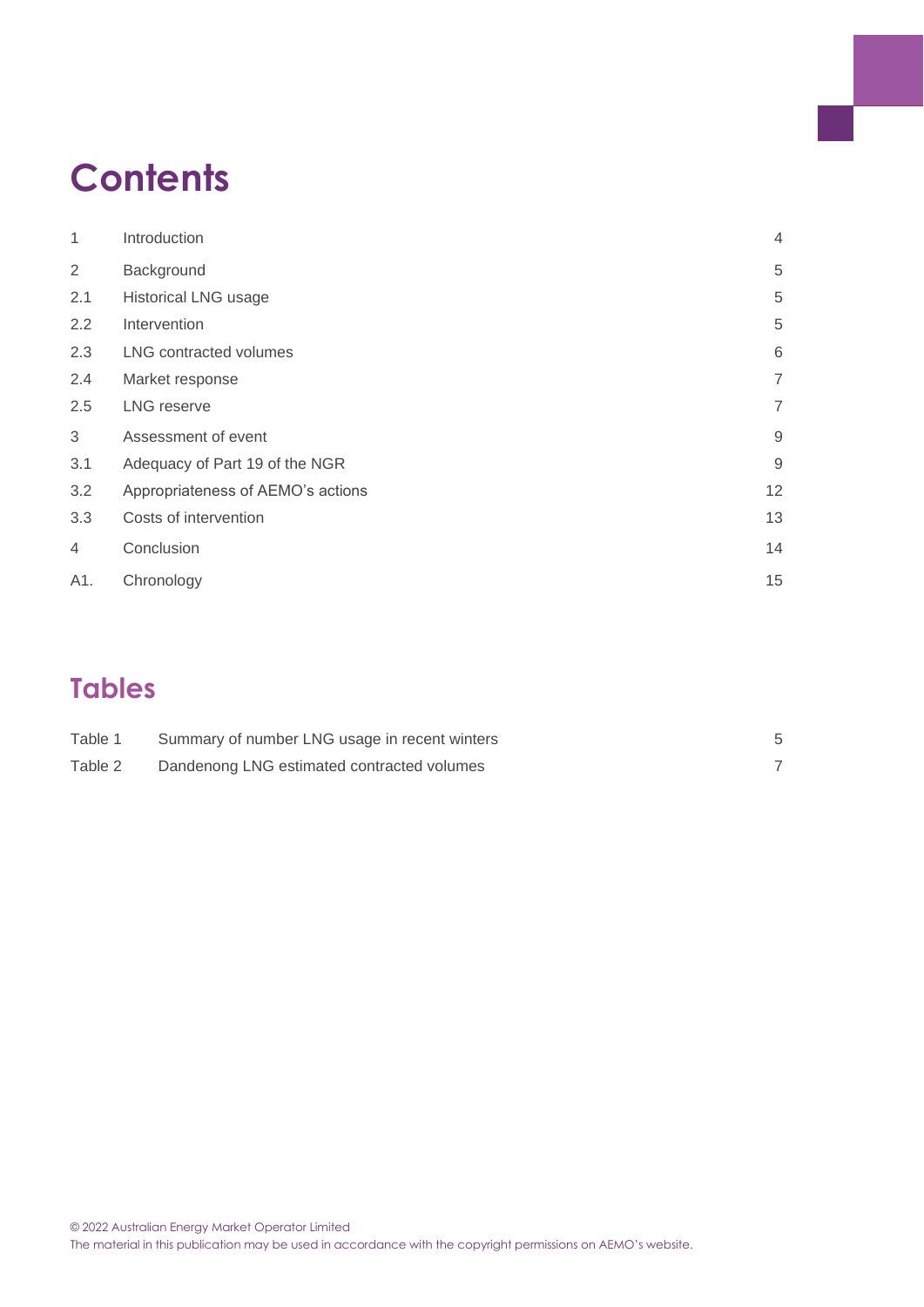## **Contents**

| 1              | Introduction                      | $\overline{4}$ |
|----------------|-----------------------------------|----------------|
| $\overline{2}$ | Background                        | 5              |
| 2.1            | <b>Historical LNG usage</b>       | 5              |
| 2.2            | Intervention                      | 5              |
| 2.3            | <b>LNG</b> contracted volumes     | 6              |
| 2.4            | Market response                   | $\overline{7}$ |
| 2.5            | <b>LNG reserve</b>                | $\overline{7}$ |
| 3              | Assessment of event               | $\mathsf 9$    |
| 3.1            | Adequacy of Part 19 of the NGR    | $\overline{9}$ |
| 3.2            | Appropriateness of AEMO's actions | 12             |
| 3.3            | Costs of intervention             | 13             |
| $\overline{4}$ | Conclusion                        | 14             |
| A1.            | Chronology                        | 15             |

## **Tables**

| Table 1 | Summary of number LNG usage in recent winters |  |
|---------|-----------------------------------------------|--|
| Table 2 | Dandenong LNG estimated contracted volumes    |  |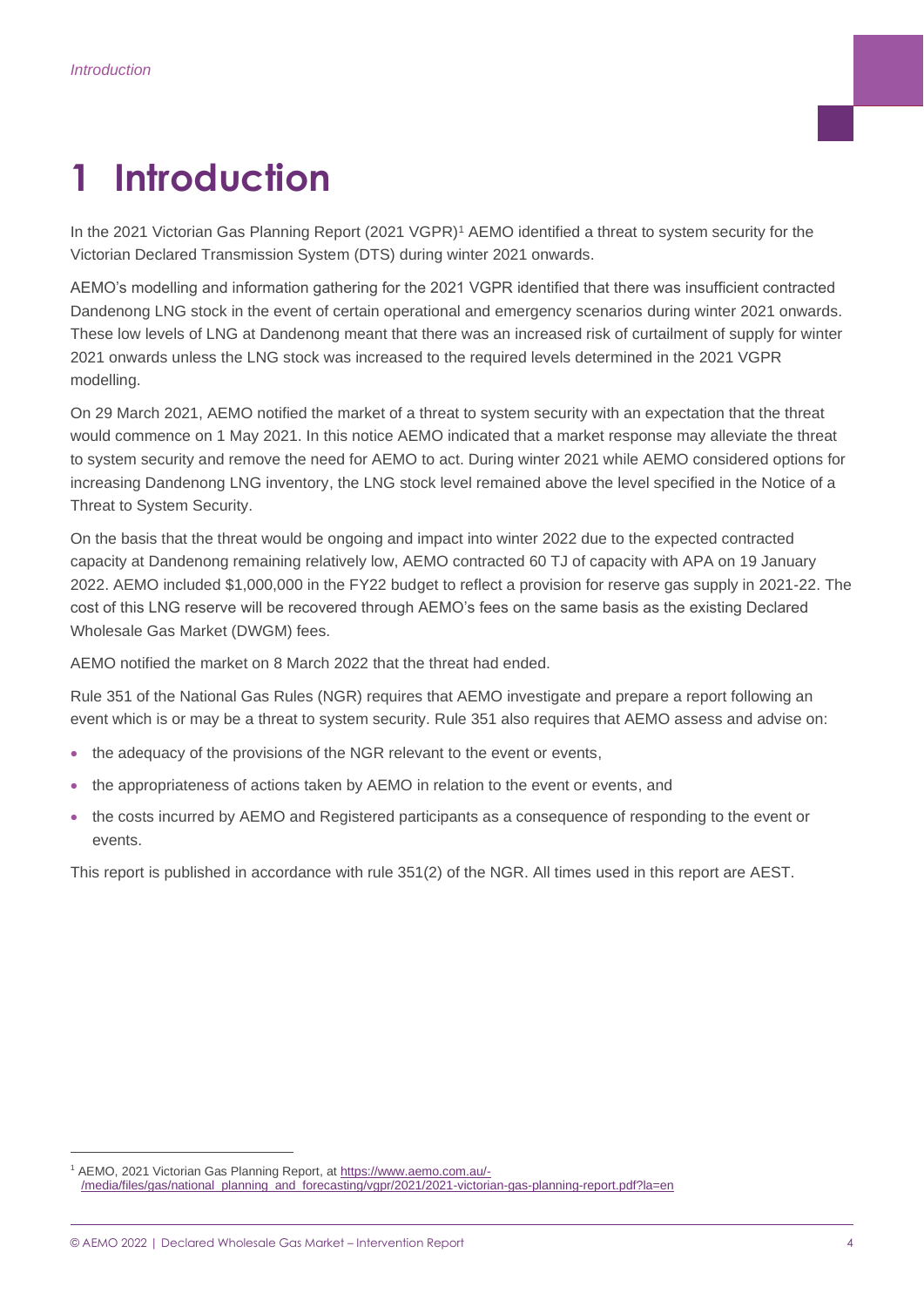## <span id="page-3-0"></span>**1 Introduction**

In the 2021 Victorian Gas Planning Report (2021 VGPR)<sup>1</sup> AEMO identified a threat to system security for the Victorian Declared Transmission System (DTS) during winter 2021 onwards.

AEMO's modelling and information gathering for the 2021 VGPR identified that there was insufficient contracted Dandenong LNG stock in the event of certain operational and emergency scenarios during winter 2021 onwards. These low levels of LNG at Dandenong meant that there was an increased risk of curtailment of supply for winter 2021 onwards unless the LNG stock was increased to the required levels determined in the 2021 VGPR modelling.

On 29 March 2021, AEMO notified the market of a threat to system security with an expectation that the threat would commence on 1 May 2021. In this notice AEMO indicated that a market response may alleviate the threat to system security and remove the need for AEMO to act. During winter 2021 while AEMO considered options for increasing Dandenong LNG inventory, the LNG stock level remained above the level specified in the Notice of a Threat to System Security.

On the basis that the threat would be ongoing and impact into winter 2022 due to the expected contracted capacity at Dandenong remaining relatively low, AEMO contracted 60 TJ of capacity with APA on 19 January 2022. AEMO included \$1,000,000 in the FY22 budget to reflect a provision for reserve gas supply in 2021-22. The cost of this LNG reserve will be recovered through AEMO's fees on the same basis as the existing Declared Wholesale Gas Market (DWGM) fees.

AEMO notified the market on 8 March 2022 that the threat had ended.

Rule 351 of the National Gas Rules (NGR) requires that AEMO investigate and prepare a report following an event which is or may be a threat to system security. Rule 351 also requires that AEMO assess and advise on:

- the adequacy of the provisions of the NGR relevant to the event or events,
- the appropriateness of actions taken by AEMO in relation to the event or events, and
- the costs incurred by AEMO and Registered participants as a consequence of responding to the event or events.

This report is published in accordance with rule 351(2) of the NGR. All times used in this report are AEST.

<sup>&</sup>lt;sup>1</sup> AEMO, 2021 Victorian Gas Planning Report, at [https://www.aemo.com.au/-](https://www.aemo.com.au/-/media/files/gas/national_planning_and_forecasting/vgpr/2021/2021-victorian-gas-planning-report.pdf?la=en) [/media/files/gas/national\\_planning\\_and\\_forecasting/vgpr/2021/2021-victorian-gas-planning-report.pdf?la=en](https://www.aemo.com.au/-/media/files/gas/national_planning_and_forecasting/vgpr/2021/2021-victorian-gas-planning-report.pdf?la=en)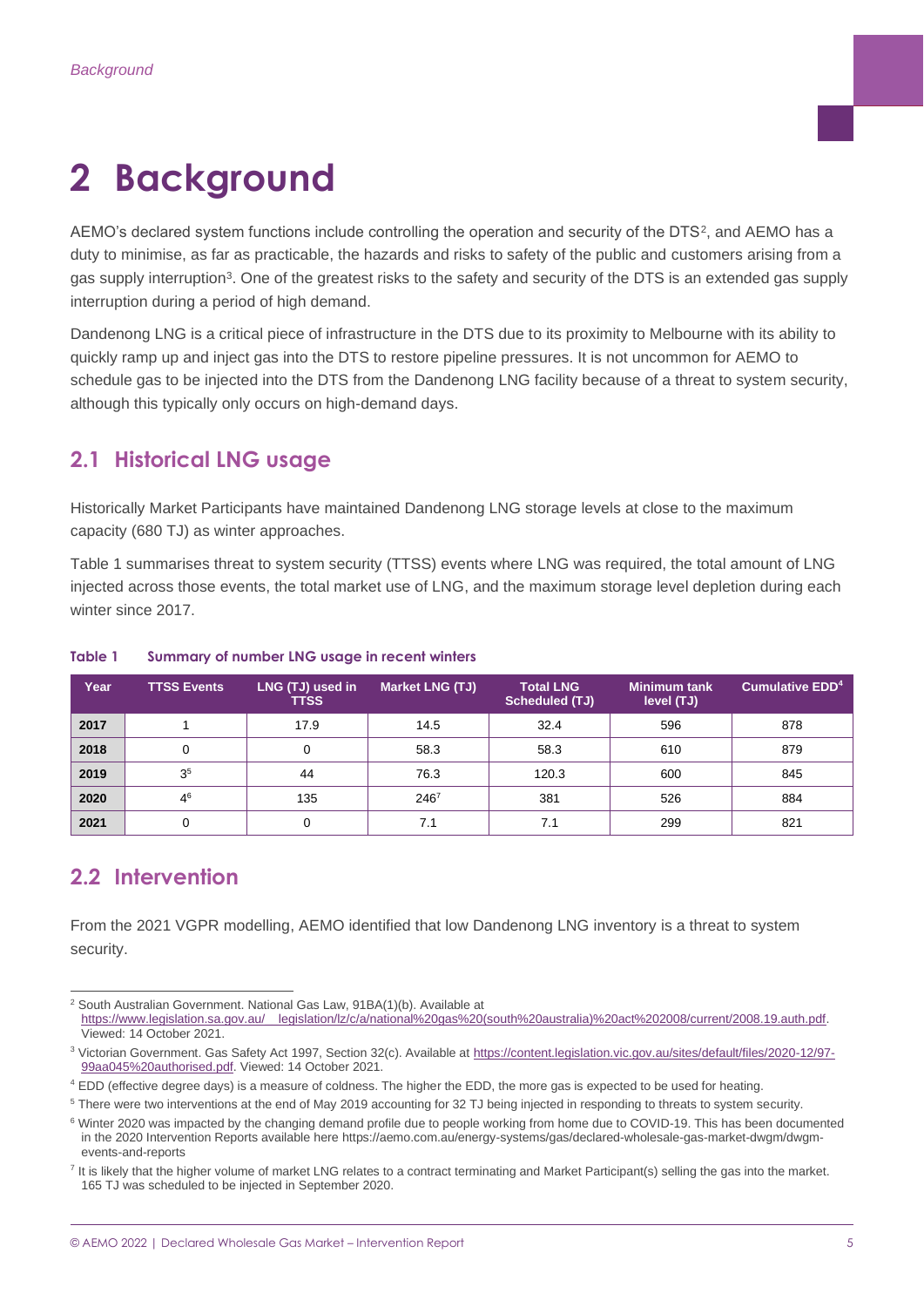## <span id="page-4-0"></span>**2 Background**

<code>AEMO's</code> declared system functions include controlling the operation and security of the DTS<sup>2</sup>, and <code>AEMO</code> has a duty to minimise, as far as practicable, the hazards and risks to safety of the public and customers arising from a gas supply interruption<sup>3</sup>. One of the greatest risks to the safety and security of the DTS is an extended gas supply interruption during a period of high demand.

Dandenong LNG is a critical piece of infrastructure in the DTS due to its proximity to Melbourne with its ability to quickly ramp up and inject gas into the DTS to restore pipeline pressures. It is not uncommon for AEMO to schedule gas to be injected into the DTS from the Dandenong LNG facility because of a threat to system security, although this typically only occurs on high-demand days.

### <span id="page-4-1"></span>**2.1 Historical LNG usage**

Historically Market Participants have maintained Dandenong LNG storage levels at close to the maximum capacity (680 TJ) as winter approaches.

Table 1 summarises threat to system security (TTSS) events where LNG was required, the total amount of LNG injected across those events, the total market use of LNG, and the maximum storage level depletion during each winter since 2017.

| Year | <b>TTSS Events</b> | LNG (TJ) used in<br><b>TTSS</b> | <b>Market LNG (TJ)</b> | <b>Total LNG</b><br><b>Scheduled (TJ)</b> | <b>Minimum tank</b><br>level (TJ) | Cumulative EDD <sup>4</sup> |
|------|--------------------|---------------------------------|------------------------|-------------------------------------------|-----------------------------------|-----------------------------|
| 2017 |                    | 17.9                            | 14.5                   | 32.4                                      | 596                               | 878                         |
| 2018 |                    |                                 | 58.3                   | 58.3                                      | 610                               | 879                         |
| 2019 | 3 <sup>5</sup>     | 44                              | 76.3                   | 120.3                                     | 600                               | 845                         |
| 2020 | 4 <sup>6</sup>     | 135                             | $246^7$                | 381                                       | 526                               | 884                         |
| 2021 |                    |                                 | 7.1                    | 7.1                                       | 299                               | 821                         |

#### <span id="page-4-3"></span>**Table 1 Summary of number LNG usage in recent winters**

### <span id="page-4-2"></span>**2.2 Intervention**

From the 2021 VGPR modelling, AEMO identified that low Dandenong LNG inventory is a threat to system security.

<sup>&</sup>lt;sup>2</sup> South Australian Government. National Gas Law, 91BA(1)(b). Available at [https://www.legislation.sa.gov.au/\\_\\_legislation/lz/c/a/national%20gas%20\(south%20australia\)%20act%202008/current/2008.19.auth.pdf.](https://www.legislation.sa.gov.au/__legislation/lz/c/a/national%20gas%20(south%20australia)%20act%202008/current/2008.19.auth.pdf) Viewed: 14 October 2021.

<sup>&</sup>lt;sup>3</sup> Victorian Government. Gas Safety Act 1997, Section 32(c). Available at [https://content.legislation.vic.gov.au/sites/default/files/2020-12/97-](https://content.legislation.vic.gov.au/sites/default/files/2020-12/97-99aa045%20authorised.pdf) [99aa045%20authorised.pdf.](https://content.legislation.vic.gov.au/sites/default/files/2020-12/97-99aa045%20authorised.pdf) Viewed: 14 October 2021.

<sup>4</sup> EDD (effective degree days) is a measure of coldness. The higher the EDD, the more gas is expected to be used for heating.

<sup>5</sup> There were two interventions at the end of May 2019 accounting for 32 TJ being injected in responding to threats to system security.

<sup>&</sup>lt;sup>6</sup> Winter 2020 was impacted by the changing demand profile due to people working from home due to COVID-19. This has been documented in the 2020 Intervention Reports available here https://aemo.com.au/energy-systems/gas/declared-wholesale-gas-market-dwgm/dwgmevents-and-reports

<sup>&</sup>lt;sup>7</sup> It is likely that the higher volume of market LNG relates to a contract terminating and Market Participant(s) selling the gas into the market. 165 TJ was scheduled to be injected in September 2020.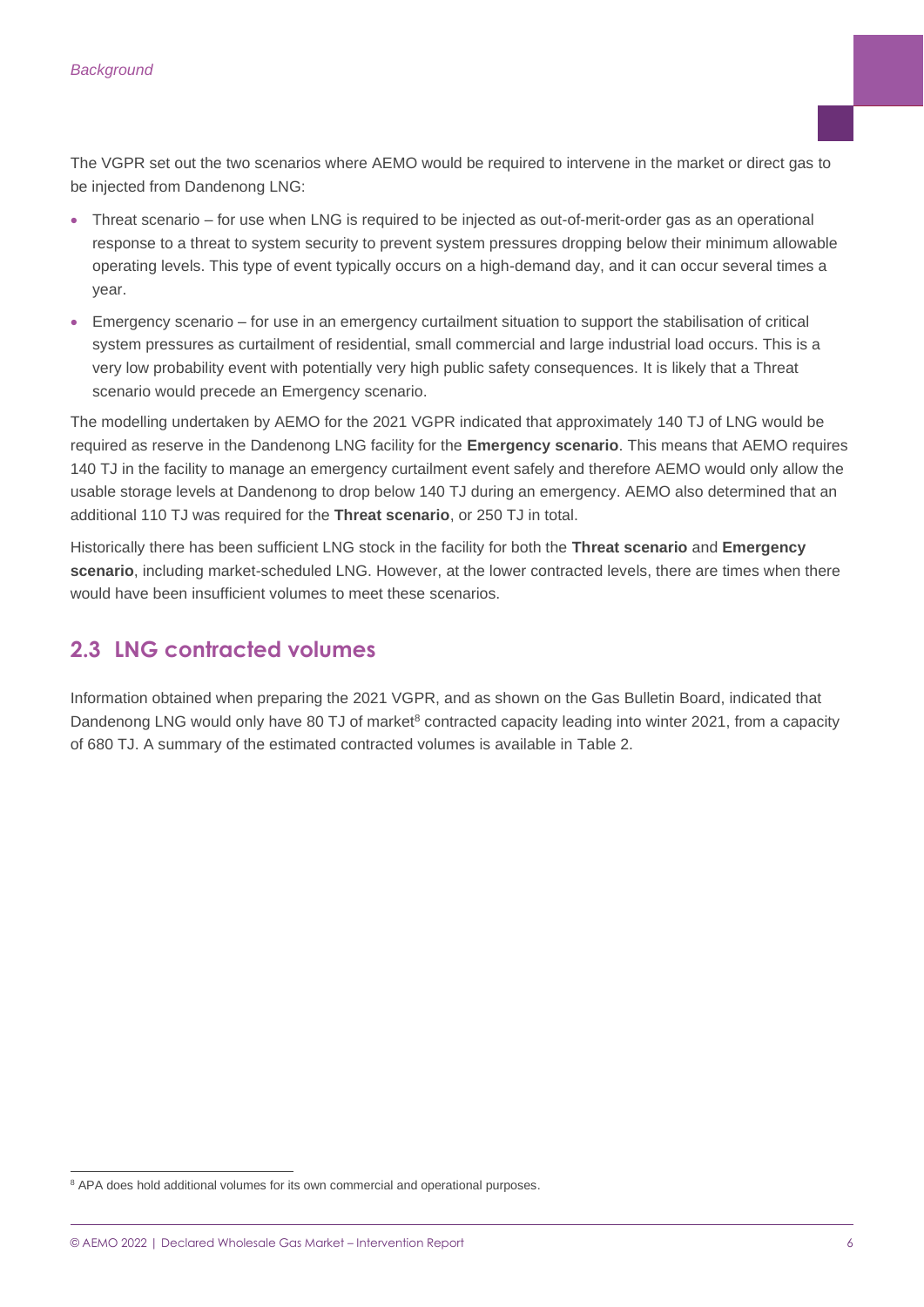The VGPR set out the two scenarios where AEMO would be required to intervene in the market or direct gas to be injected from Dandenong LNG:

- Threat scenario for use when LNG is required to be injected as out-of-merit-order gas as an operational response to a threat to system security to prevent system pressures dropping below their minimum allowable operating levels. This type of event typically occurs on a high-demand day, and it can occur several times a year.
- Emergency scenario for use in an emergency curtailment situation to support the stabilisation of critical system pressures as curtailment of residential, small commercial and large industrial load occurs. This is a very low probability event with potentially very high public safety consequences. It is likely that a Threat scenario would precede an Emergency scenario.

The modelling undertaken by AEMO for the 2021 VGPR indicated that approximately 140 TJ of LNG would be required as reserve in the Dandenong LNG facility for the **Emergency scenario**. This means that AEMO requires 140 TJ in the facility to manage an emergency curtailment event safely and therefore AEMO would only allow the usable storage levels at Dandenong to drop below 140 TJ during an emergency. AEMO also determined that an additional 110 TJ was required for the **Threat scenario**, or 250 TJ in total.

Historically there has been sufficient LNG stock in the facility for both the **Threat scenario** and **Emergency scenario**, including market-scheduled LNG. However, at the lower contracted levels, there are times when there would have been insufficient volumes to meet these scenarios.

### <span id="page-5-0"></span>**2.3 LNG contracted volumes**

Information obtained when preparing the 2021 VGPR, and as shown on the Gas Bulletin Board, indicated that Dandenong LNG would only have 80 TJ of market<sup>8</sup> contracted capacity leading into winter 2021, from a capacity of 680 TJ. A summary of the estimated contracted volumes is available in Table 2.

<sup>&</sup>lt;sup>8</sup> APA does hold additional volumes for its own commercial and operational purposes.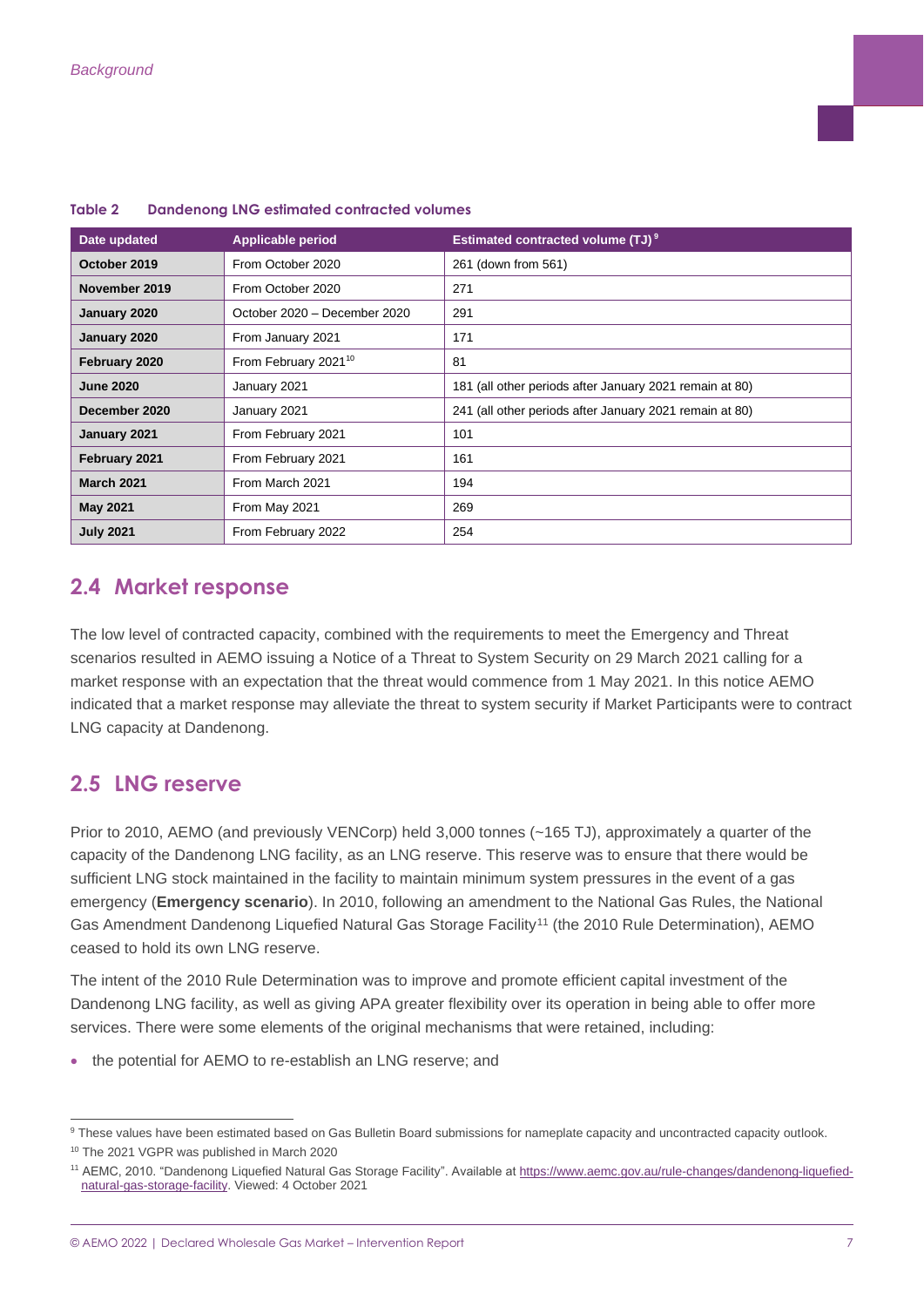| Date updated      | <b>Applicable period</b>         | <b>Estimated contracted volume (TJ)<sup>9</sup></b>     |
|-------------------|----------------------------------|---------------------------------------------------------|
| October 2019      | From October 2020                | 261 (down from 561)                                     |
| November 2019     | From October 2020                | 271                                                     |
| January 2020      | October 2020 - December 2020     | 291                                                     |
| January 2020      | From January 2021                | 171                                                     |
| February 2020     | From February 2021 <sup>10</sup> | 81                                                      |
| <b>June 2020</b>  | January 2021                     | 181 (all other periods after January 2021 remain at 80) |
| December 2020     | January 2021                     | 241 (all other periods after January 2021 remain at 80) |
| January 2021      | From February 2021               | 101                                                     |
| February 2021     | From February 2021               | 161                                                     |
| <b>March 2021</b> | From March 2021                  | 194                                                     |
| <b>May 2021</b>   | From May 2021                    | 269                                                     |
| <b>July 2021</b>  | From February 2022               | 254                                                     |

#### <span id="page-6-2"></span>**Table 2 Dandenong LNG estimated contracted volumes**

### <span id="page-6-0"></span>**2.4 Market response**

The low level of contracted capacity, combined with the requirements to meet the Emergency and Threat scenarios resulted in AEMO issuing a Notice of a Threat to System Security on 29 March 2021 calling for a market response with an expectation that the threat would commence from 1 May 2021. In this notice AEMO indicated that a market response may alleviate the threat to system security if Market Participants were to contract LNG capacity at Dandenong.

### <span id="page-6-1"></span>**2.5 LNG reserve**

Prior to 2010, AEMO (and previously VENCorp) held 3,000 tonnes (~165 TJ), approximately a quarter of the capacity of the Dandenong LNG facility, as an LNG reserve. This reserve was to ensure that there would be sufficient LNG stock maintained in the facility to maintain minimum system pressures in the event of a gas emergency (**Emergency scenario**). In 2010, following an amendment to the National Gas Rules, the National Gas Amendment Dandenong Liquefied Natural Gas Storage Facility<sup>11</sup> (the 2010 Rule Determination), AEMO ceased to hold its own LNG reserve.

The intent of the 2010 Rule Determination was to improve and promote efficient capital investment of the Dandenong LNG facility, as well as giving APA greater flexibility over its operation in being able to offer more services. There were some elements of the original mechanisms that were retained, including:

• the potential for AEMO to re-establish an LNG reserve; and

<sup>9</sup> These values have been estimated based on Gas Bulletin Board submissions for nameplate capacity and uncontracted capacity outlook. <sup>10</sup> The 2021 VGPR was published in March 2020

<sup>&</sup>lt;sup>11</sup> AEMC, 2010. "Dandenong Liquefied Natural Gas Storage Facility". Available at [https://www.aemc.gov.au/rule-changes/dandenong-liquefied](https://www.aemc.gov.au/rule-changes/dandenong-liquefied-natural-gas-storage-facility)[natural-gas-storage-facility.](https://www.aemc.gov.au/rule-changes/dandenong-liquefied-natural-gas-storage-facility) Viewed: 4 October 2021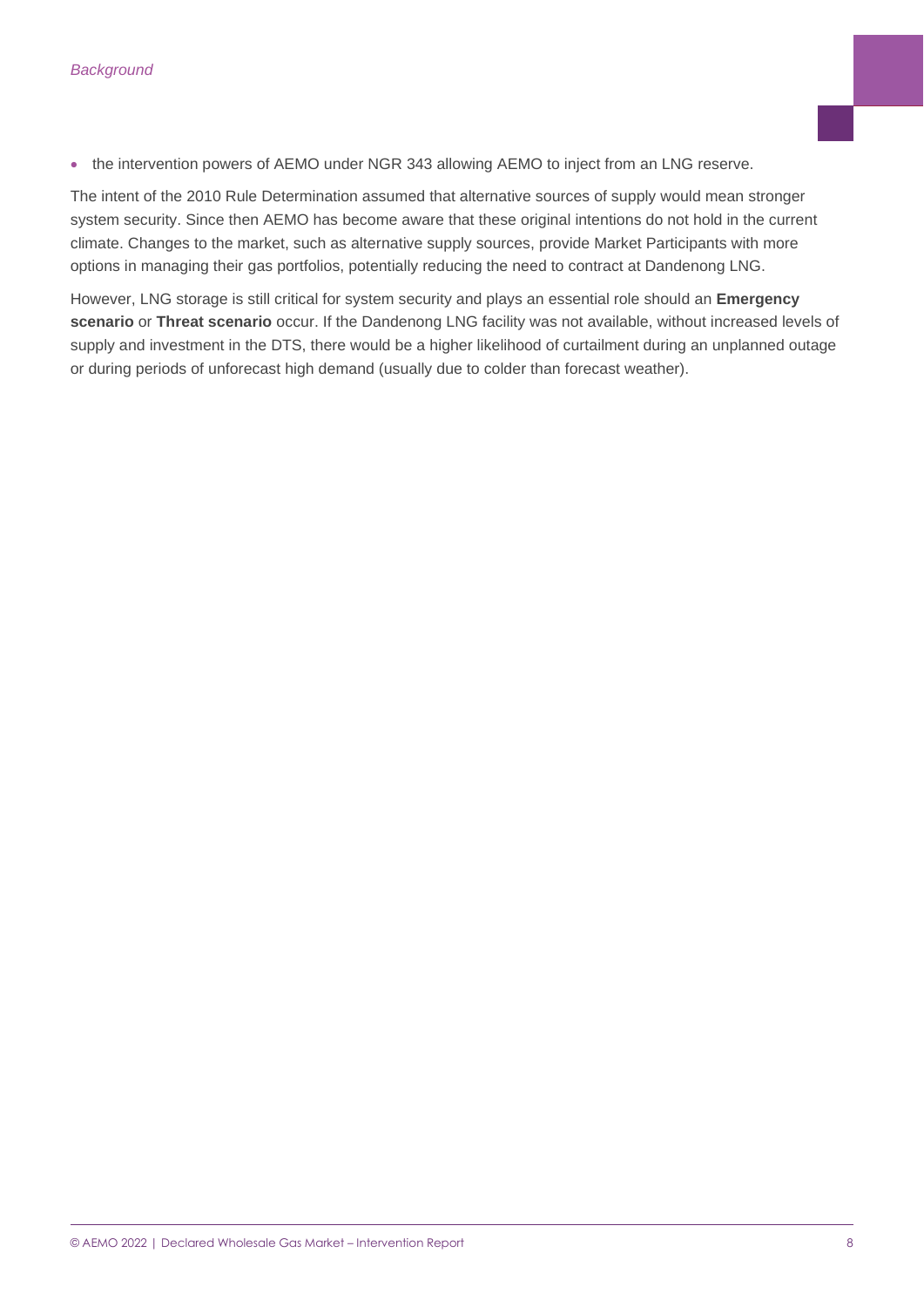• the intervention powers of AEMO under NGR 343 allowing AEMO to inject from an LNG reserve.

The intent of the 2010 Rule Determination assumed that alternative sources of supply would mean stronger system security. Since then AEMO has become aware that these original intentions do not hold in the current climate. Changes to the market, such as alternative supply sources, provide Market Participants with more options in managing their gas portfolios, potentially reducing the need to contract at Dandenong LNG.

However, LNG storage is still critical for system security and plays an essential role should an **Emergency scenario** or **Threat scenario** occur. If the Dandenong LNG facility was not available, without increased levels of supply and investment in the DTS, there would be a higher likelihood of curtailment during an unplanned outage or during periods of unforecast high demand (usually due to colder than forecast weather).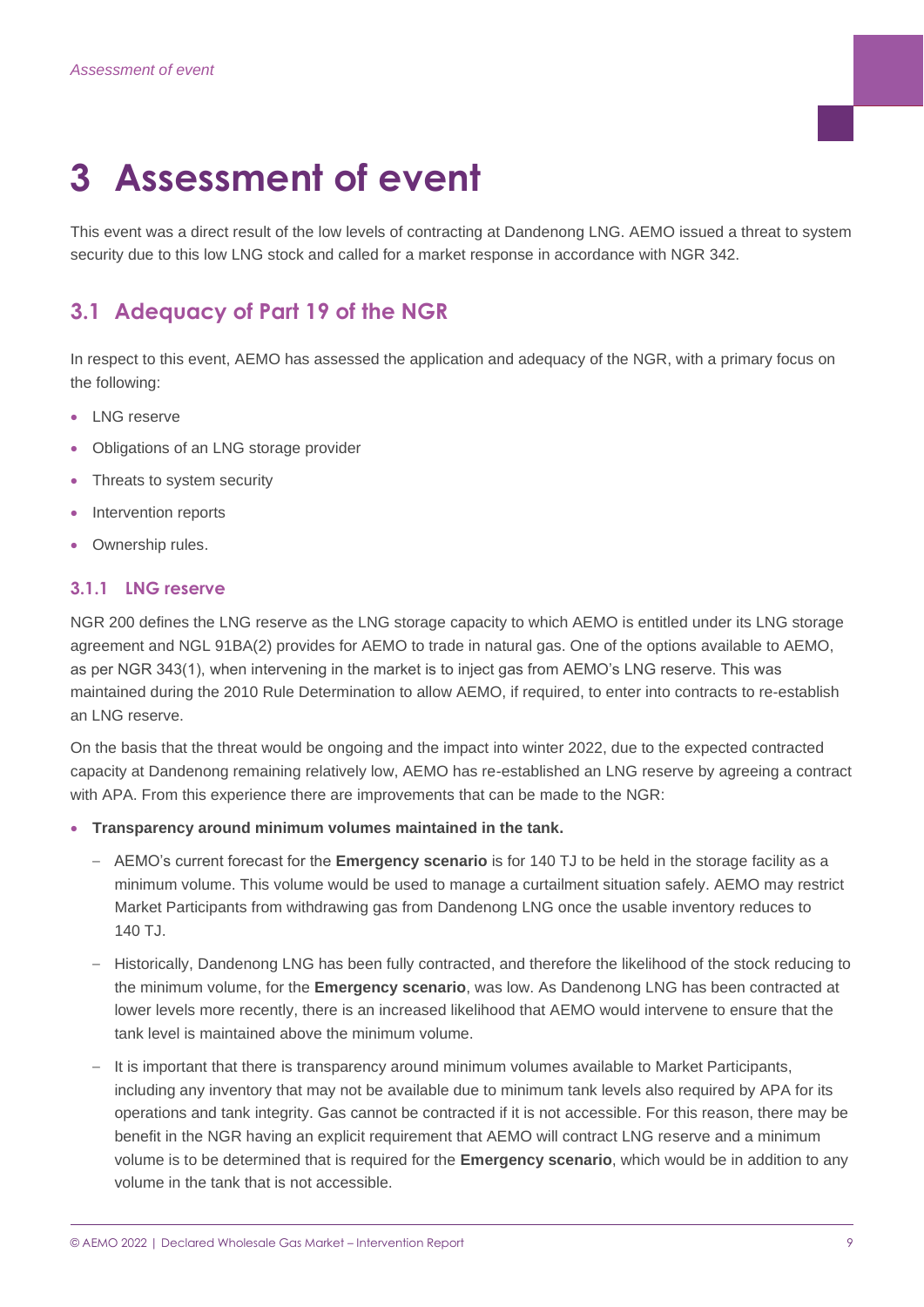## <span id="page-8-0"></span>**3 Assessment of event**

This event was a direct result of the low levels of contracting at Dandenong LNG. AEMO issued a threat to system security due to this low LNG stock and called for a market response in accordance with NGR 342.

## <span id="page-8-1"></span>**3.1 Adequacy of Part 19 of the NGR**

In respect to this event, AEMO has assessed the application and adequacy of the NGR, with a primary focus on the following:

- LNG reserve
- Obligations of an LNG storage provider
- Threats to system security
- Intervention reports
- Ownership rules.

#### **3.1.1 LNG reserve**

NGR 200 defines the LNG reserve as the LNG storage capacity to which AEMO is entitled under its LNG storage agreement and NGL 91BA(2) provides for AEMO to trade in natural gas. One of the options available to AEMO, as per NGR 343(1), when intervening in the market is to inject gas from AEMO's LNG reserve. This was maintained during the 2010 Rule Determination to allow AEMO, if required, to enter into contracts to re-establish an LNG reserve.

On the basis that the threat would be ongoing and the impact into winter 2022, due to the expected contracted capacity at Dandenong remaining relatively low, AEMO has re-established an LNG reserve by agreeing a contract with APA. From this experience there are improvements that can be made to the NGR:

- **Transparency around minimum volumes maintained in the tank.**
	- AEMO's current forecast for the **Emergency scenario** is for 140 TJ to be held in the storage facility as a minimum volume. This volume would be used to manage a curtailment situation safely. AEMO may restrict Market Participants from withdrawing gas from Dandenong LNG once the usable inventory reduces to  $140$  T.I.
	- Historically, Dandenong LNG has been fully contracted, and therefore the likelihood of the stock reducing to the minimum volume, for the **Emergency scenario**, was low. As Dandenong LNG has been contracted at lower levels more recently, there is an increased likelihood that AEMO would intervene to ensure that the tank level is maintained above the minimum volume.
	- It is important that there is transparency around minimum volumes available to Market Participants, including any inventory that may not be available due to minimum tank levels also required by APA for its operations and tank integrity. Gas cannot be contracted if it is not accessible. For this reason, there may be benefit in the NGR having an explicit requirement that AEMO will contract LNG reserve and a minimum volume is to be determined that is required for the **Emergency scenario**, which would be in addition to any volume in the tank that is not accessible.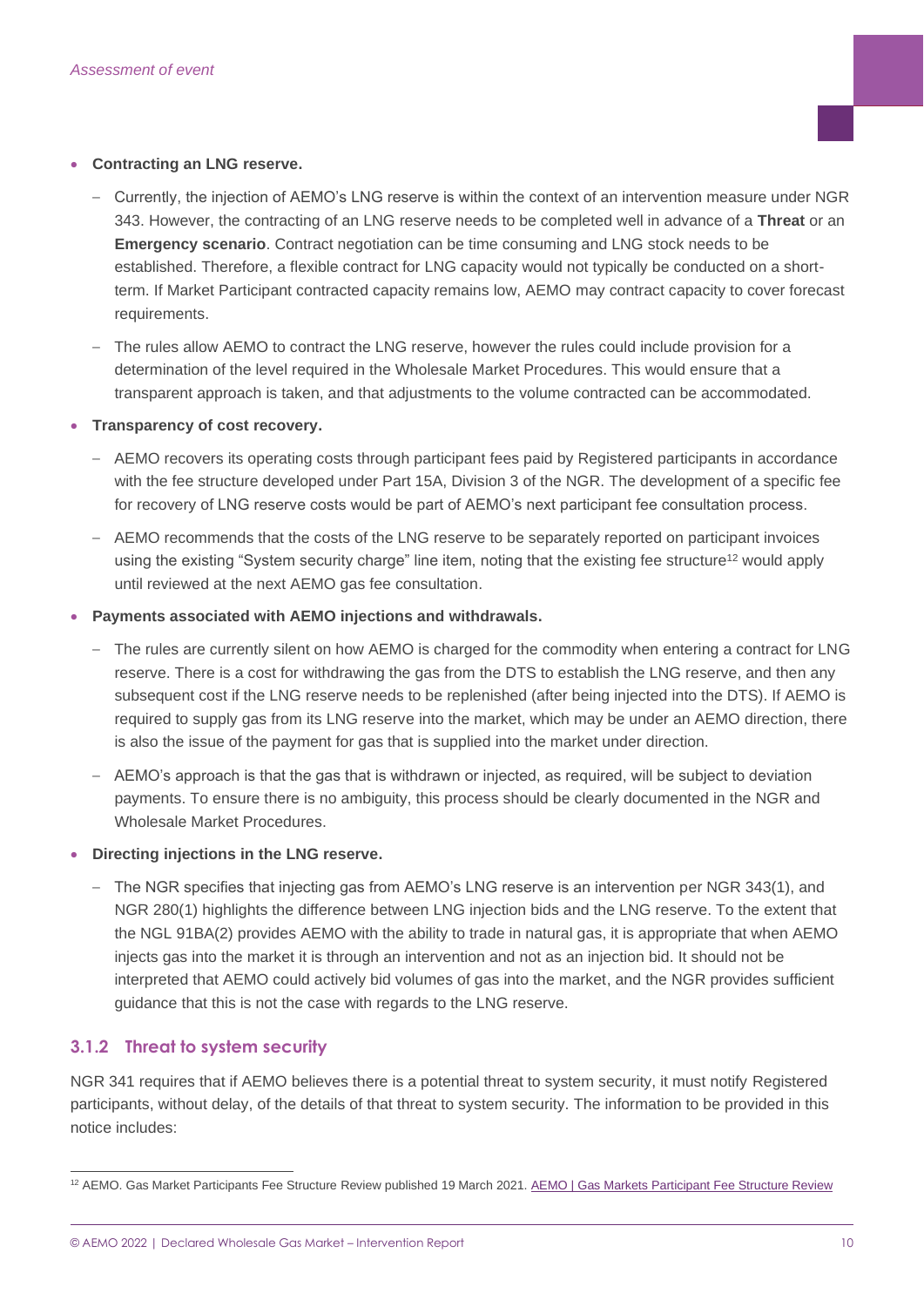#### • **Contracting an LNG reserve.**

- Currently, the injection of AEMO's LNG reserve is within the context of an intervention measure under NGR 343. However, the contracting of an LNG reserve needs to be completed well in advance of a **Threat** or an **Emergency scenario**. Contract negotiation can be time consuming and LNG stock needs to be established. Therefore, a flexible contract for LNG capacity would not typically be conducted on a shortterm. If Market Participant contracted capacity remains low, AEMO may contract capacity to cover forecast requirements.
- The rules allow AEMO to contract the LNG reserve, however the rules could include provision for a determination of the level required in the Wholesale Market Procedures. This would ensure that a transparent approach is taken, and that adjustments to the volume contracted can be accommodated.
- **Transparency of cost recovery.**
	- AEMO recovers its operating costs through participant fees paid by Registered participants in accordance with the fee structure developed under Part 15A, Division 3 of the NGR. The development of a specific fee for recovery of LNG reserve costs would be part of AEMO's next participant fee consultation process.
	- AEMO recommends that the costs of the LNG reserve to be separately reported on participant invoices using the existing "System security charge" line item, noting that the existing fee structure<sup>12</sup> would apply until reviewed at the next AEMO gas fee consultation.
- **Payments associated with AEMO injections and withdrawals.**
	- The rules are currently silent on how AEMO is charged for the commodity when entering a contract for LNG reserve. There is a cost for withdrawing the gas from the DTS to establish the LNG reserve, and then any subsequent cost if the LNG reserve needs to be replenished (after being injected into the DTS). If AEMO is required to supply gas from its LNG reserve into the market, which may be under an AEMO direction, there is also the issue of the payment for gas that is supplied into the market under direction.
	- AEMO's approach is that the gas that is withdrawn or injected, as required, will be subject to deviation payments. To ensure there is no ambiguity, this process should be clearly documented in the NGR and Wholesale Market Procedures.

#### • **Directing injections in the LNG reserve.**

– The NGR specifies that injecting gas from AEMO's LNG reserve is an intervention per NGR 343(1), and NGR 280(1) highlights the difference between LNG injection bids and the LNG reserve. To the extent that the NGL 91BA(2) provides AEMO with the ability to trade in natural gas, it is appropriate that when AEMO injects gas into the market it is through an intervention and not as an injection bid. It should not be interpreted that AEMO could actively bid volumes of gas into the market, and the NGR provides sufficient guidance that this is not the case with regards to the LNG reserve.

#### **3.1.2 Threat to system security**

NGR 341 requires that if AEMO believes there is a potential threat to system security, it must notify Registered participants, without delay, of the details of that threat to system security. The information to be provided in this notice includes:

<sup>&</sup>lt;sup>12</sup> AEMO. Gas Market Participants Fee Structure Review published 19 March 2021[. AEMO | Gas Markets Participant Fee Structure Review](https://aemo.com.au/en/consultations/current-and-closed-consultations/gas-markets-participant-fee-structure-review)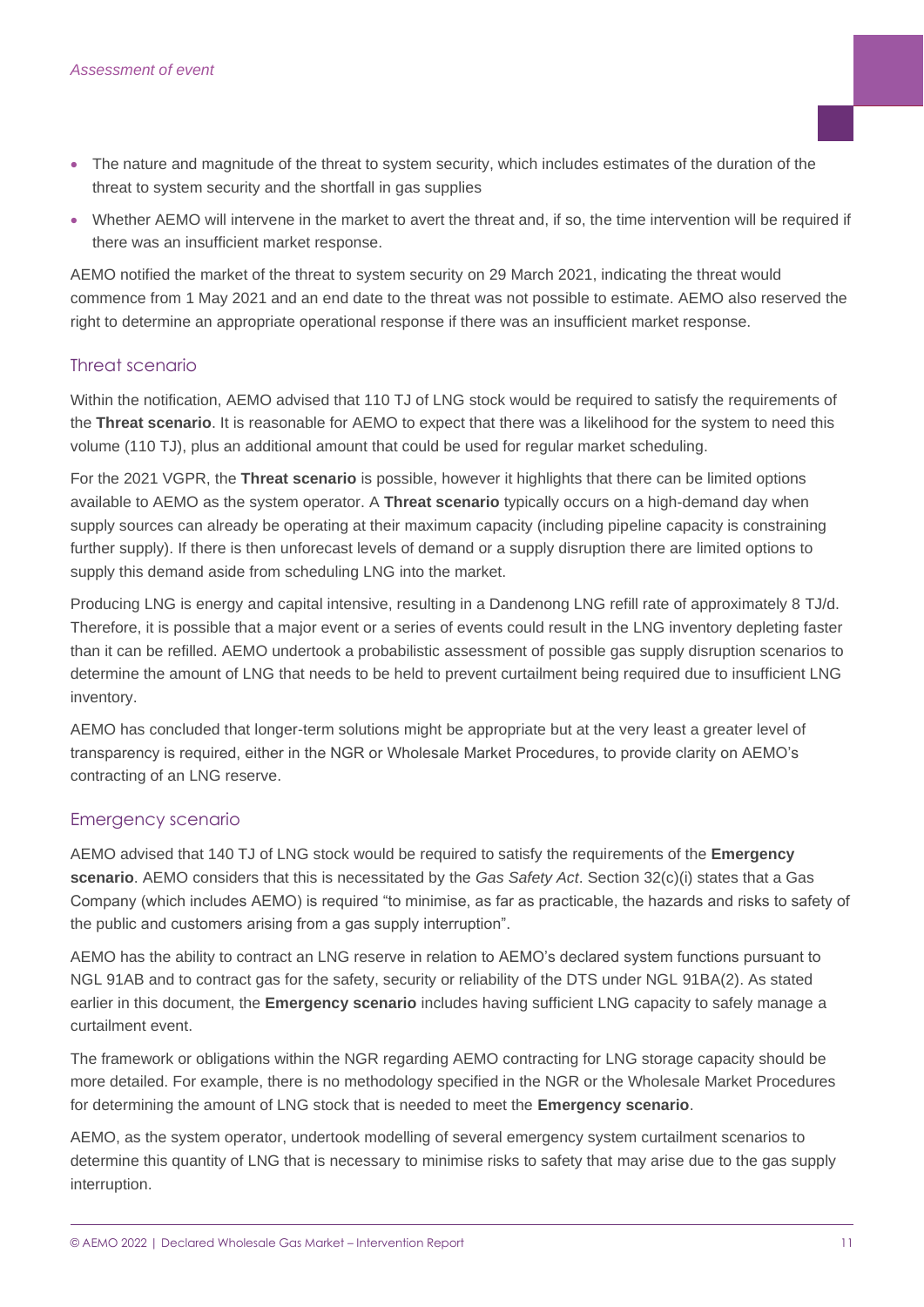- The nature and magnitude of the threat to system security, which includes estimates of the duration of the threat to system security and the shortfall in gas supplies
- Whether AEMO will intervene in the market to avert the threat and, if so, the time intervention will be required if there was an insufficient market response.

AEMO notified the market of the threat to system security on 29 March 2021, indicating the threat would commence from 1 May 2021 and an end date to the threat was not possible to estimate. AEMO also reserved the right to determine an appropriate operational response if there was an insufficient market response.

#### Threat scenario

Within the notification, AEMO advised that 110 TJ of LNG stock would be required to satisfy the requirements of the **Threat scenario**. It is reasonable for AEMO to expect that there was a likelihood for the system to need this volume (110 TJ), plus an additional amount that could be used for regular market scheduling.

For the 2021 VGPR, the **Threat scenario** is possible, however it highlights that there can be limited options available to AEMO as the system operator. A **Threat scenario** typically occurs on a high-demand day when supply sources can already be operating at their maximum capacity (including pipeline capacity is constraining further supply). If there is then unforecast levels of demand or a supply disruption there are limited options to supply this demand aside from scheduling LNG into the market.

Producing LNG is energy and capital intensive, resulting in a Dandenong LNG refill rate of approximately 8 TJ/d. Therefore, it is possible that a major event or a series of events could result in the LNG inventory depleting faster than it can be refilled. AEMO undertook a probabilistic assessment of possible gas supply disruption scenarios to determine the amount of LNG that needs to be held to prevent curtailment being required due to insufficient LNG inventory.

AEMO has concluded that longer-term solutions might be appropriate but at the very least a greater level of transparency is required, either in the NGR or Wholesale Market Procedures, to provide clarity on AEMO's contracting of an LNG reserve.

#### Emergency scenario

AEMO advised that 140 TJ of LNG stock would be required to satisfy the requirements of the **Emergency scenario**. AEMO considers that this is necessitated by the *Gas Safety Act*. Section 32(c)(i) states that a Gas Company (which includes AEMO) is required "to minimise, as far as practicable, the hazards and risks to safety of the public and customers arising from a gas supply interruption".

AEMO has the ability to contract an LNG reserve in relation to AEMO's declared system functions pursuant to NGL 91AB and to contract gas for the safety, security or reliability of the DTS under NGL 91BA(2). As stated earlier in this document, the **Emergency scenario** includes having sufficient LNG capacity to safely manage a curtailment event.

The framework or obligations within the NGR regarding AEMO contracting for LNG storage capacity should be more detailed. For example, there is no methodology specified in the NGR or the Wholesale Market Procedures for determining the amount of LNG stock that is needed to meet the **Emergency scenario**.

AEMO, as the system operator, undertook modelling of several emergency system curtailment scenarios to determine this quantity of LNG that is necessary to minimise risks to safety that may arise due to the gas supply interruption.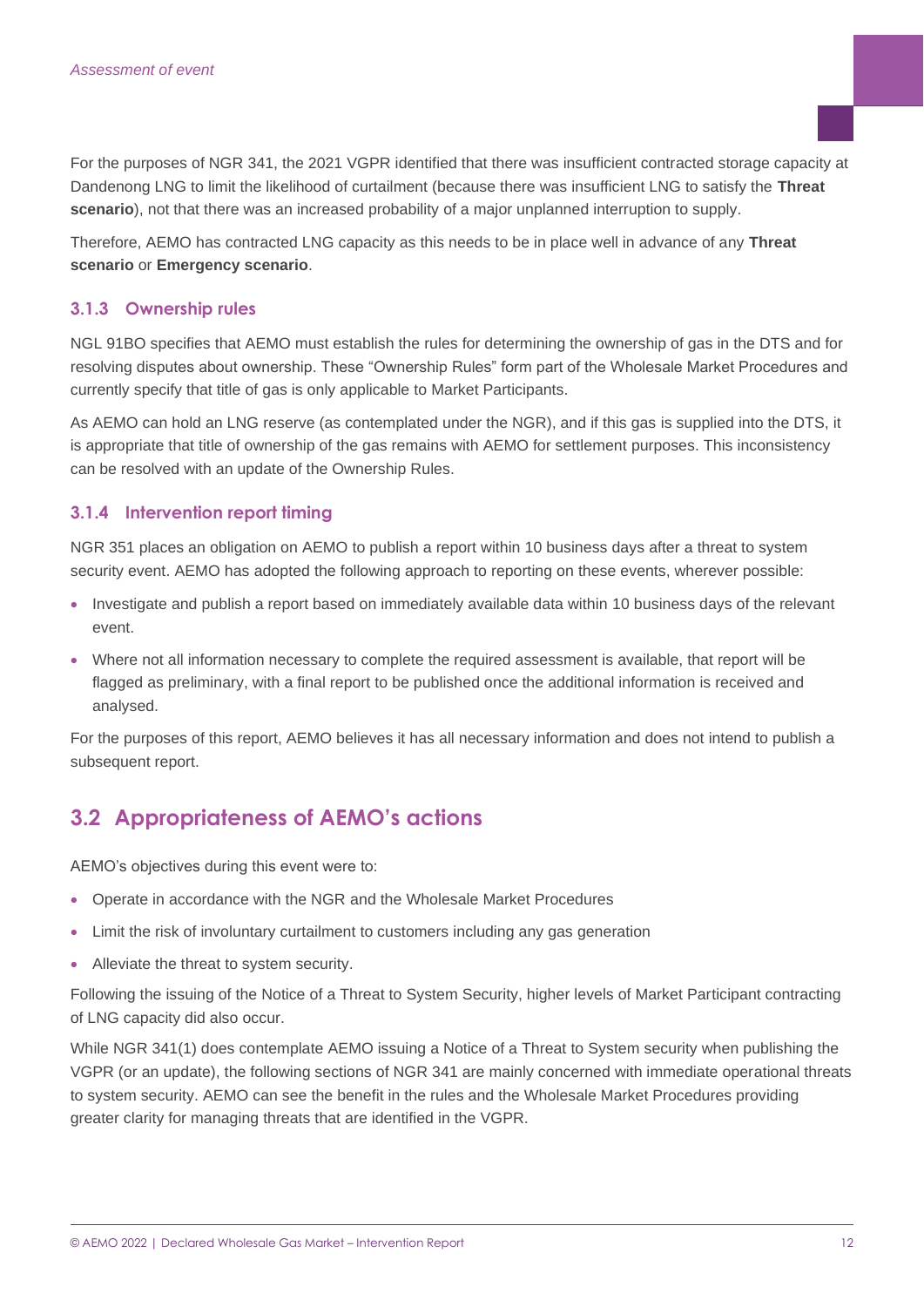For the purposes of NGR 341, the 2021 VGPR identified that there was insufficient contracted storage capacity at Dandenong LNG to limit the likelihood of curtailment (because there was insufficient LNG to satisfy the **Threat scenario**), not that there was an increased probability of a major unplanned interruption to supply.

Therefore, AEMO has contracted LNG capacity as this needs to be in place well in advance of any **Threat scenario** or **Emergency scenario**.

### **3.1.3 Ownership rules**

NGL 91BO specifies that AEMO must establish the rules for determining the ownership of gas in the DTS and for resolving disputes about ownership. These "Ownership Rules" form part of the Wholesale Market Procedures and currently specify that title of gas is only applicable to Market Participants.

As AEMO can hold an LNG reserve (as contemplated under the NGR), and if this gas is supplied into the DTS, it is appropriate that title of ownership of the gas remains with AEMO for settlement purposes. This inconsistency can be resolved with an update of the Ownership Rules.

### **3.1.4 Intervention report timing**

NGR 351 places an obligation on AEMO to publish a report within 10 business days after a threat to system security event. AEMO has adopted the following approach to reporting on these events, wherever possible:

- Investigate and publish a report based on immediately available data within 10 business days of the relevant event.
- Where not all information necessary to complete the required assessment is available, that report will be flagged as preliminary, with a final report to be published once the additional information is received and analysed.

For the purposes of this report, AEMO believes it has all necessary information and does not intend to publish a subsequent report.

### <span id="page-11-0"></span>**3.2 Appropriateness of AEMO's actions**

AEMO's objectives during this event were to:

- Operate in accordance with the NGR and the Wholesale Market Procedures
- Limit the risk of involuntary curtailment to customers including any gas generation
- Alleviate the threat to system security.

Following the issuing of the Notice of a Threat to System Security, higher levels of Market Participant contracting of LNG capacity did also occur.

While NGR 341(1) does contemplate AEMO issuing a Notice of a Threat to System security when publishing the VGPR (or an update), the following sections of NGR 341 are mainly concerned with immediate operational threats to system security. AEMO can see the benefit in the rules and the Wholesale Market Procedures providing greater clarity for managing threats that are identified in the VGPR.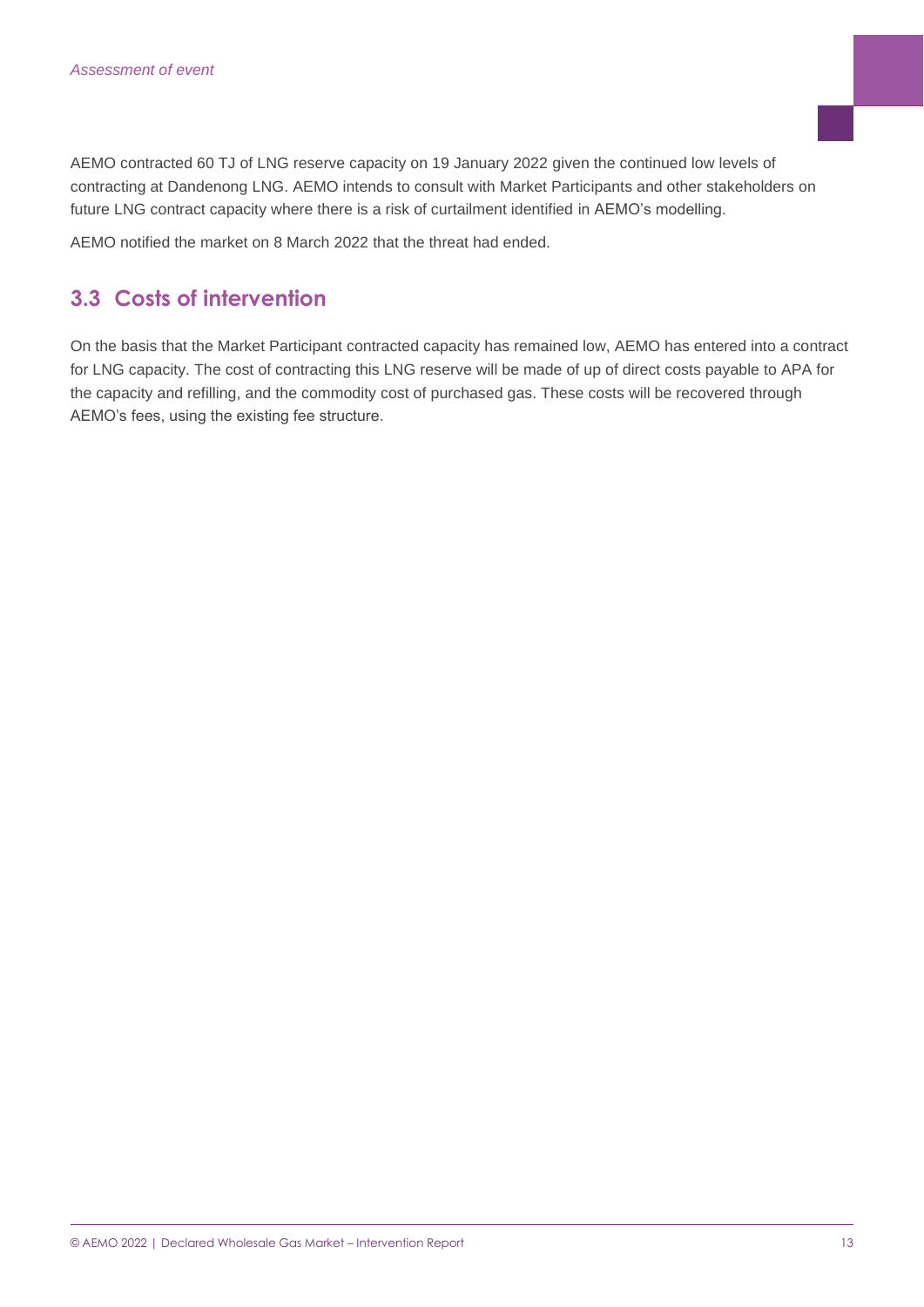AEMO contracted 60 TJ of LNG reserve capacity on 19 January 2022 given the continued low levels of contracting at Dandenong LNG. AEMO intends to consult with Market Participants and other stakeholders on future LNG contract capacity where there is a risk of curtailment identified in AEMO's modelling.

AEMO notified the market on 8 March 2022 that the threat had ended.

## <span id="page-12-0"></span>**3.3 Costs of intervention**

On the basis that the Market Participant contracted capacity has remained low, AEMO has entered into a contract for LNG capacity. The cost of contracting this LNG reserve will be made of up of direct costs payable to APA for the capacity and refilling, and the commodity cost of purchased gas. These costs will be recovered through AEMO's fees, using the existing fee structure.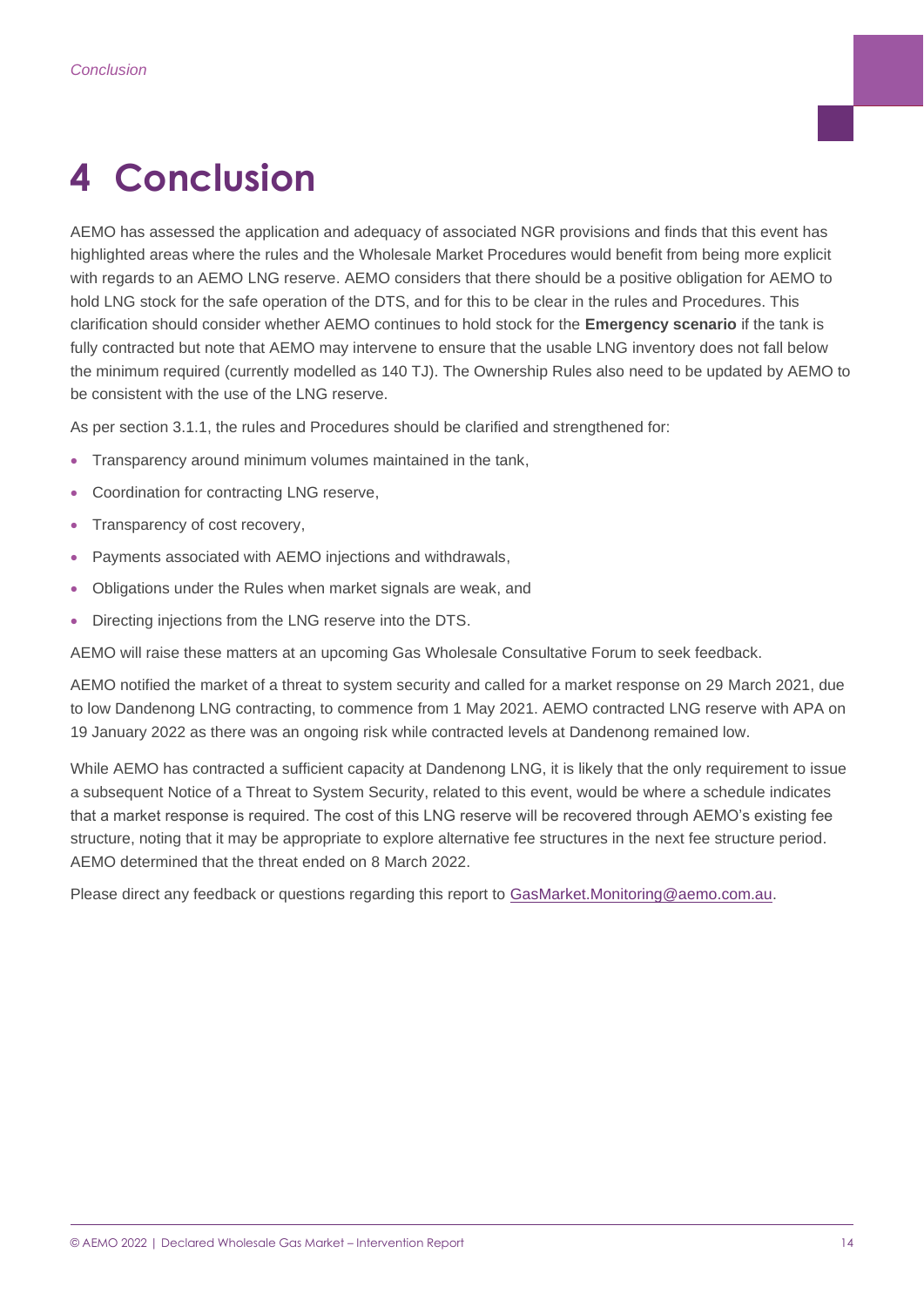## <span id="page-13-0"></span>**4 Conclusion**

AEMO has assessed the application and adequacy of associated NGR provisions and finds that this event has highlighted areas where the rules and the Wholesale Market Procedures would benefit from being more explicit with regards to an AEMO LNG reserve. AEMO considers that there should be a positive obligation for AEMO to hold LNG stock for the safe operation of the DTS, and for this to be clear in the rules and Procedures. This clarification should consider whether AEMO continues to hold stock for the **Emergency scenario** if the tank is fully contracted but note that AEMO may intervene to ensure that the usable LNG inventory does not fall below the minimum required (currently modelled as 140 TJ). The Ownership Rules also need to be updated by AEMO to be consistent with the use of the LNG reserve.

As per section 3.1.1, the rules and Procedures should be clarified and strengthened for:

- Transparency around minimum volumes maintained in the tank,
- Coordination for contracting LNG reserve,
- Transparency of cost recovery,
- Payments associated with AEMO injections and withdrawals,
- Obligations under the Rules when market signals are weak, and
- Directing injections from the LNG reserve into the DTS.

AEMO will raise these matters at an upcoming Gas Wholesale Consultative Forum to seek feedback.

AEMO notified the market of a threat to system security and called for a market response on 29 March 2021, due to low Dandenong LNG contracting, to commence from 1 May 2021. AEMO contracted LNG reserve with APA on 19 January 2022 as there was an ongoing risk while contracted levels at Dandenong remained low.

While AEMO has contracted a sufficient capacity at Dandenong LNG, it is likely that the only requirement to issue a subsequent Notice of a Threat to System Security, related to this event, would be where a schedule indicates that a market response is required. The cost of this LNG reserve will be recovered through AEMO's existing fee structure, noting that it may be appropriate to explore alternative fee structures in the next fee structure period. AEMO determined that the threat ended on 8 March 2022.

Please direct any feedback or questions regarding this report to [GasMarket.Monitoring@aemo.com.au.](mailto:GasMarket.Monitoring@aemo.com.au)